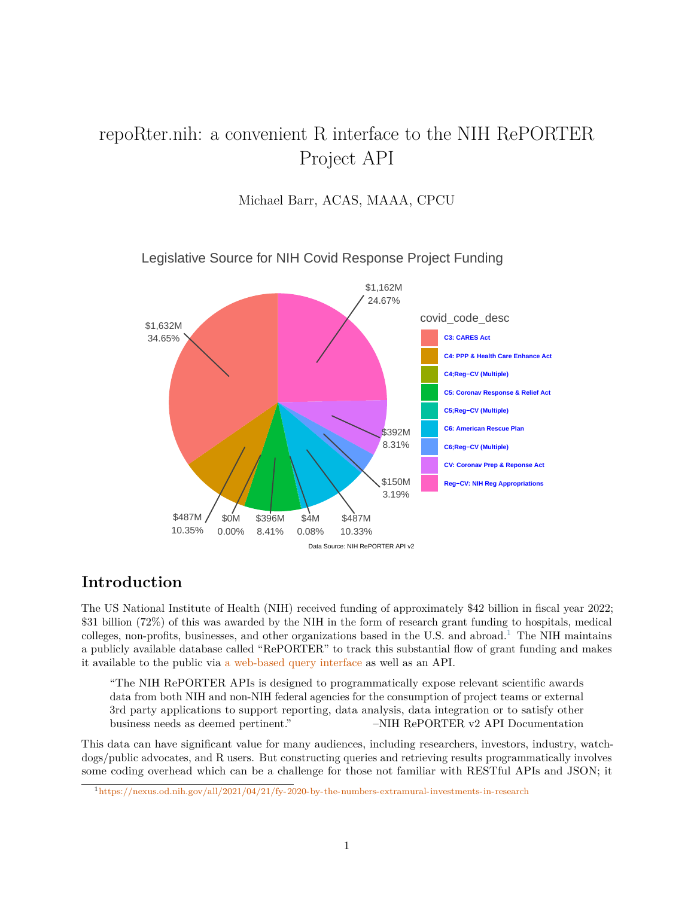# repoRter.nih: a convenient R interface to the NIH RePORTER Project API

Michael Barr, ACAS, MAAA, CPCU



### Legislative Source for NIH Covid Response Project Funding

# **Introduction**

The US National Institute of Health (NIH) received funding of approximately \$42 billion in fiscal year 2022; \$31 billion (72%) of this was awarded by the NIH in the form of research grant funding to hospitals, medical colleges, non-profits, businesses, and other organizations based in the U.S. and abroad.<sup>[1](#page-0-0)</sup> The NIH maintains a publicly available database called "RePORTER" to track this substantial flow of grant funding and makes it available to the public via [a web-based query interface](https://reporter.nih.gov/) as well as an API.

"The NIH RePORTER APIs is designed to programmatically expose relevant scientific awards data from both NIH and non-NIH federal agencies for the consumption of project teams or external 3rd party applications to support reporting, data analysis, data integration or to satisfy other business needs as deemed pertinent." –NIH RePORTER v2 API Documentation

This data can have significant value for many audiences, including researchers, investors, industry, watchdogs/public advocates, and R users. But constructing queries and retrieving results programmatically involves some coding overhead which can be a challenge for those not familiar with RESTful APIs and JSON; it

<span id="page-0-0"></span><sup>1</sup><https://nexus.od.nih.gov/all/2021/04/21/fy-2020-by-the-numbers-extramural-investments-in-research>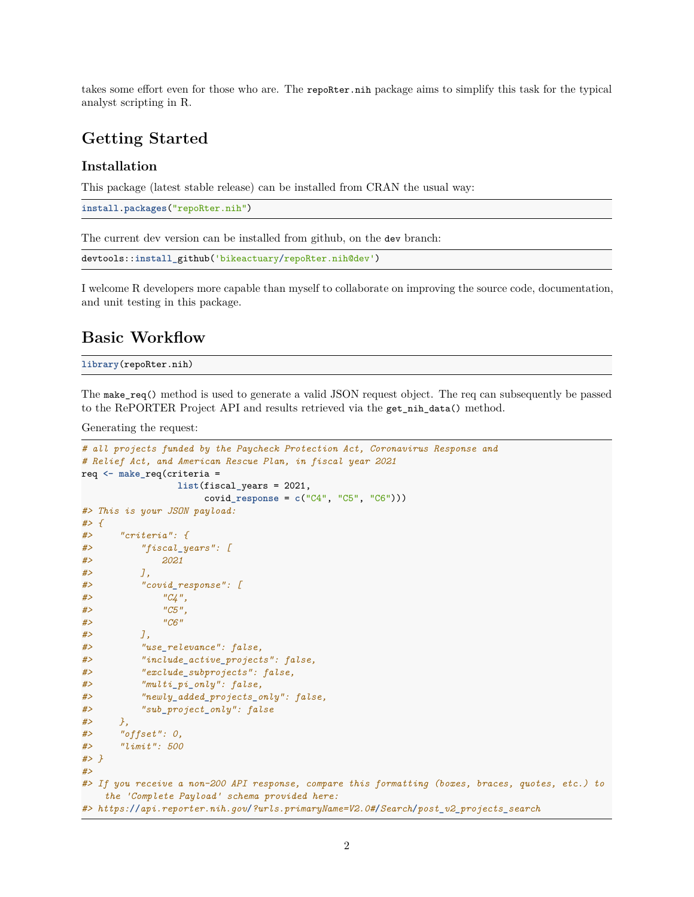takes some effort even for those who are. The report is not package aims to simplify this task for the typical analyst scripting in R.

### **Getting Started**

### **Installation**

This package (latest stable release) can be installed from CRAN the usual way:

```
install.packages("repoRter.nih")
```
The current dev version can be installed from github, on the dev branch:

```
devtools::install_github('bikeactuary/repoRter.nih@dev')
```
I welcome R developers more capable than myself to collaborate on improving the source code, documentation, and unit testing in this package.

### **Basic Workflow**

**library**(repoRter.nih)

The make req() method is used to generate a valid JSON request object. The req can subsequently be passed to the RePORTER Project API and results retrieved via the get\_nih\_data() method.

Generating the request:

```
# all projects funded by the Paycheck Protection Act, Coronavirus Response and
# Relief Act, and American Rescue Plan, in fiscal year 2021
req <- make_req(criteria =
               list(fiscal_years = 2021,
                    covid_response = c("C4", "C5", "C6")))
#> This is your JSON payload:
#> {
#> "criteria": {
#> "fiscal_years": [
#> 2021
#> ],
#> "covid_response": [
#> "C4",
#> "C5",
             #> "C6"
#> ],
#> "use_relevance": false,
#> "include_active_projects": false,
#> "exclude_subprojects": false,
#> "multi_pi_only": false,
#> "newly_added_projects_only": false,
#> "sub_project_only": false
#> },
#> "offset": 0,
#> "limit": 500
#> }
#>
#> If you receive a non-200 API response, compare this formatting (boxes, braces, quotes, etc.) to
   the 'Complete Payload' schema provided here:
#> https://api.reporter.nih.gov/?urls.primaryName=V2.0#/Search/post_v2_projects_search
```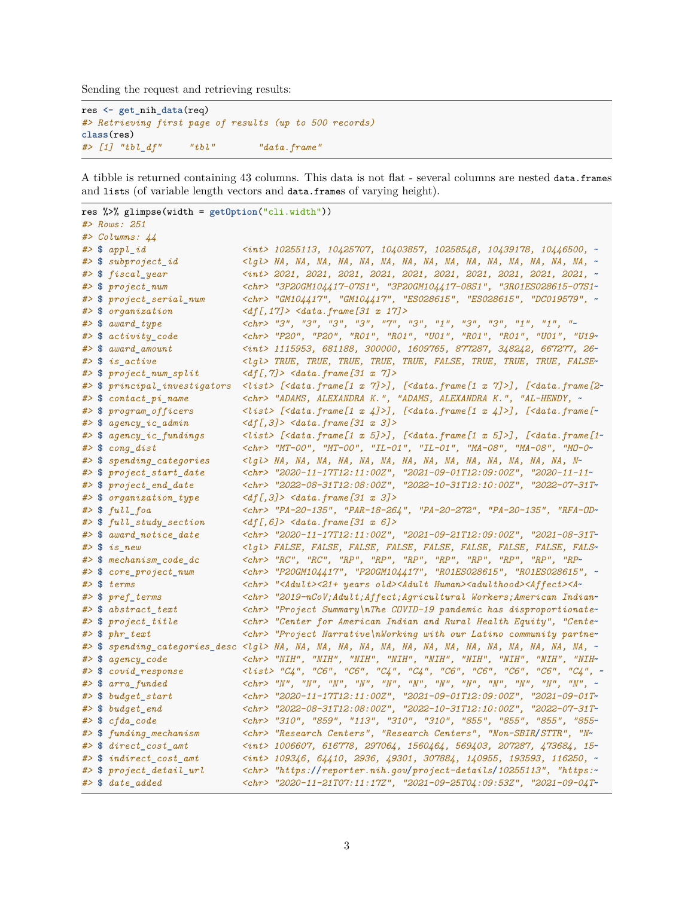Sending the request and retrieving results:

```
res <- get_nih_data(req)
#> Retrieving first page of results (up to 500 records)
class(res)
#> [1] "tbl_df" "tbl" "data.frame"
```
A tibble is returned containing 43 columns. This data is not flat - several columns are nested data.frames and lists (of variable length vectors and data.frames of varying height).

```
res %>% glimpse(width = getOption("cli.width"))
#> Rows: 251
#> Columns: 44
#> $ appl_id <int> 10255113, 10425707, 10403857, 10258548, 10439178, 10446500, ~
#> $ subproject_id <lgl> NA, NA, NA, NA, NA, NA, NA, NA, NA, NA, NA, NA, NA, NA, NA, ~
#> $ fiscal_year <int> 2021, 2021, 2021, 2021, 2021, 2021, 2021, 2021, 2021, 2021, ~
#> $ project_num <chr> "3P20GM104417-07S1", "3P20GM104417-08S1", "3R01ES028615-07S1~
#> $ project_serial_num <chr> "GM104417", "GM104417", "ES028615", "ES028615", "DC019579", ~
#> $ organization <df[,17]> <data.frame[31 x 17]>
#> $ award_type <chr> "3", "3", "3", "3", "7", "3", "1", "3", "3", "1", "1", "~
#> $ activity_code <chr> "P20", "P20", "R01", "R01", "U01", "R01", "R01", "U01", "U19~
#> $ award_amount <int> 1115953, 681188, 300000, 1609765, 877287, 348242, 667277, 26~
#> $ is_active <lgl> TRUE, TRUE, TRUE, TRUE, TRUE, FALSE, TRUE, TRUE, TRUE, FALSE~
#> $ project_num_split <df[,7]> <data.frame[31 x 7]>
#> $ principal_investigators <list> [<data.frame[1 x 7]>], [<data.frame[1 x 7]>], [<data.frame[2~
#> $ contact_pi_name <chr> "ADAMS, ALEXANDRA K.", "ADAMS, ALEXANDRA K.", "AL-HENDY, ~
#> $ program_officers <list> [<data.frame[1 x 4]>], [<data.frame[1 x 4]>], [<data.frame[~
#> $ agency_ic_admin <df[,3]> <data.frame[31 x 3]>
#> $ agency_ic_fundings <list> [<data.frame[1 x 5]>], [<data.frame[1 x 5]>], [<data.frame[1~
#> $ cong_dist <chr> "MT-00", "MT-00", "IL-01", "IL-01", "MA-08", "MA-08", "MO-0~
#> $ spending_categories <lgl> NA, NA, NA, NA, NA, NA, NA, NA, NA, NA, NA, NA, NA, NA, N~
#> $ project_start_date <chr> "2020-11-17T12:11:00Z", "2021-09-01T12:09:00Z", "2020-11-11~
#> $ project_end_date <chr> "2022-08-31T12:08:00Z", "2022-10-31T12:10:00Z", "2022-07-31T~
#> $ organization_type <df[,3]> <data.frame[31 x 3]>
#> $ full_foa <chr> "PA-20-135", "PAR-18-264", "PA-20-272", "PA-20-135", "RFA-OD~
#> $ full_study_section <df[,6]> <data.frame[31 x 6]>
#> $ award_notice_date <chr> "2020-11-17T12:11:00Z", "2021-09-21T12:09:00Z", "2021-08-31T~
#> $ is_new <lgl> FALSE, FALSE, FALSE, FALSE, FALSE, FALSE, FALSE, FALSE, FALS~
#> $ mechanism_code_dc <chr> "RC", "RC", "RP", "RP", "RP", "RP", "RP", "RP", "RP", "RP~
#> $ core_project_num <chr> "P20GM104417", "P20GM104417", "R01ES028615", "R01ES028615", ~
#> $ terms <chr> "<Adult><21+ years old><Adult Human><adulthood><Affect><A~
#> $ pref_terms <chr> "2019-nCoV;Adult;Affect;Agricultural Workers;American Indian~
#> $ abstract_text <chr> "Project Summary\nThe COVID-19 pandemic has disproportionate~
#> $ project_title <chr> "Center for American Indian and Rural Health Equity", "Cente~
#> $ phr_text <chr> "Project Narrative\nWorking with our Latino community partne~
#> $ spending_categories_desc <lgl> NA, NA, NA, NA, NA, NA, NA, NA, NA, NA, NA, NA, NA, NA, NA, ~
#> $ agency_code <chr> "NIH", "NIH", "NIH", "NIH", "NIH", "NIH", "NIH", "NIH", "NIH~
#> $ covid_response <list> "C4", "C6", "C6", "C4", "C4", "C6", "C6", "C6", "C6", "C4", ~
#> $ arra_funded <chr> "N", "N", "N", "N", "N", "N", "N", "N", "N", "N", "N", "N", ~
#> $ budget_start <chr> "2020-11-17T12:11:00Z", "2021-09-01T12:09:00Z", "2021-09-01T~
#> $ budget_end <chr> "2022-08-31T12:08:00Z", "2022-10-31T12:10:00Z", "2022-07-31T~
#> $ cfda_code <chr> "310", "859", "113", "310", "310", "855", "855", "855", "855~
#> $ funding_mechanism <chr> "Research Centers", "Research Centers", "Non-SBIR/STTR", "N~
#> $ direct_cost_amt <int> 1006607, 616778, 297064, 1560464, 569403, 207287, 473684, 15~
#> $ indirect_cost_amt <int> 109346, 64410, 2936, 49301, 307884, 140955, 193593, 116250, ~
#> $ project_detail_url <chr> "https://reporter.nih.gov/project-details/10255113", "https:~
#> $ date_added <chr> "2020-11-21T07:11:17Z", "2021-09-25T04:09:53Z", "2021-09-04T~
```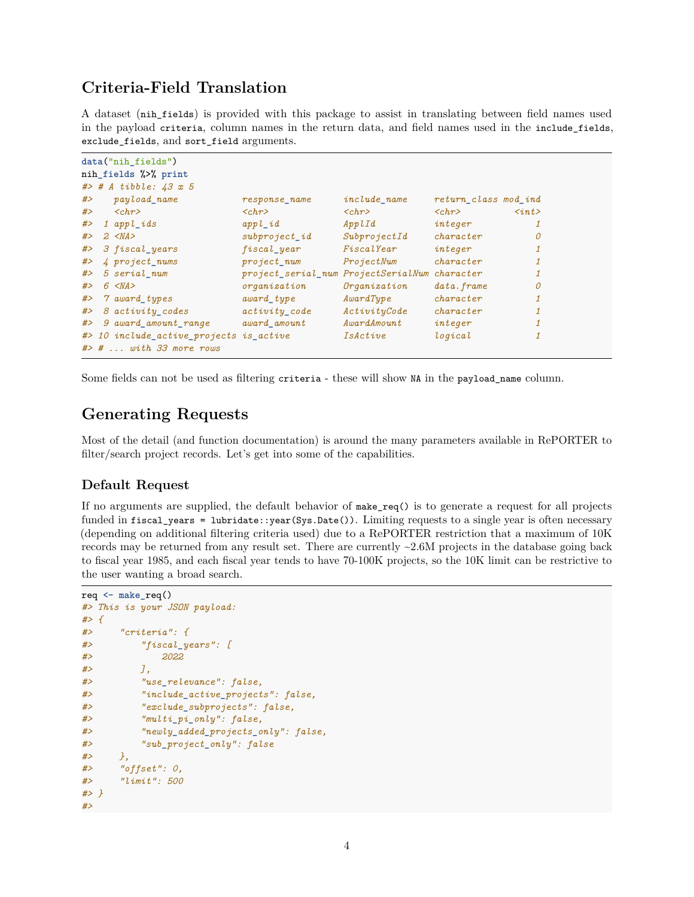### **Criteria-Field Translation**

A dataset (nih\_fields) is provided with this package to assist in translating between field names used in the payload criteria, column names in the return data, and field names used in the include\_fields, exclude\_fields, and sort\_field arguments.

|    | data("nih_fields")<br>nih fields %>% print<br>$#$ # A tibble: $43x5$    |                                               |                        |                       |                              |
|----|-------------------------------------------------------------------------|-----------------------------------------------|------------------------|-----------------------|------------------------------|
| #> | payload name                                                            | response name                                 | include name           | return class mod ind  |                              |
| #> | $\langle chr \rangle$                                                   | $\langle chr\rangle$                          | $\langle chrr \rangle$ | $\langle chr \rangle$ | $\langle \text{int} \rangle$ |
| #> | $1$ appl_ids                                                            | $appl_id$                                     | ApplId                 | integer               |                              |
| #> | $2 \langle N_{A} \rangle$                                               | $subproofect_id$                              | SubprojectId           | character             | 0                            |
| #  | 3 fiscal years                                                          | fiscal_year                                   | FiscalYear             | integer               |                              |
| #> | 4 project_nums                                                          | $project_num$                                 | ProjectNum             | character             |                              |
| #  | 5 serial num                                                            | project_serial_num_ProjectSerialNum_character |                        |                       |                              |
| #  | $6 \leq NAP$                                                            | organization                                  | Organization           | data.frame            | $\overline{O}$               |
|    | #> 7 award types                                                        | award type                                    | AwardType              | character             |                              |
| #> | 8 activity_codes                                                        | $activity\_code$                              | ActivityCode           | character             |                              |
| #> | 9 award amount range                                                    | award amount                                  | AwardAmount            | integer               |                              |
|    | #> 10 include_active_projects is_active<br>$#$ $#$ $$ with 33 more rows |                                               | IsActive               | logical               |                              |

Some fields can not be used as filtering criteria - these will show NA in the payload\_name column.

### **Generating Requests**

Most of the detail (and function documentation) is around the many parameters available in RePORTER to filter/search project records. Let's get into some of the capabilities.

### **Default Request**

If no arguments are supplied, the default behavior of make\_req() is to generate a request for all projects funded in fiscal years = lubridate::year(Sys.Date()). Limiting requests to a single year is often necessary (depending on additional filtering criteria used) due to a RePORTER restriction that a maximum of 10K records may be returned from any result set. There are currently  $\sim 2.6M$  projects in the database going back to fiscal year 1985, and each fiscal year tends to have 70-100K projects, so the 10K limit can be restrictive to the user wanting a broad search.

```
req <- make_req()
#> This is your JSON payload:
#> {
#> "criteria": {
#> "fiscal_years": [
#> 2022
#> ],
#> "use_relevance": false,
#> "include_active_projects": false,
#> "exclude_subprojects": false,
#> "multi_pi_only": false,
#> "newly_added_projects_only": false,
#> "sub_project_only": false
#> },
#> "offset": 0,
#> "limit": 500
#> }
#>
```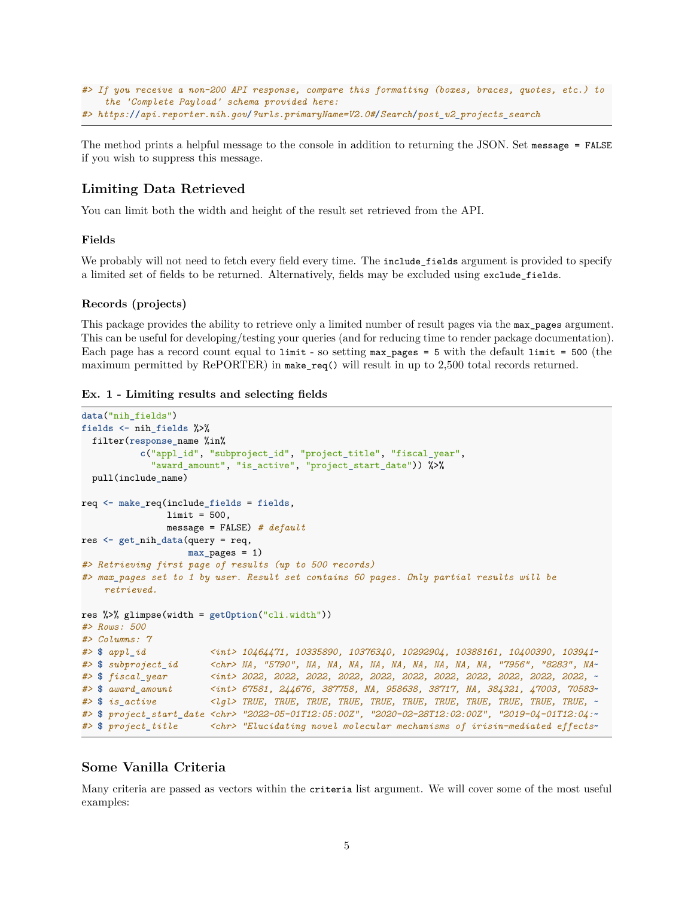```
#> If you receive a non-200 API response, compare this formatting (boxes, braces, quotes, etc.) to
    the 'Complete Payload' schema provided here:
#> https://api.reporter.nih.gov/?urls.primaryName=V2.0#/Search/post_v2_projects_search
```
The method prints a helpful message to the console in addition to returning the JSON. Set message = FALSE if you wish to suppress this message.

### **Limiting Data Retrieved**

You can limit both the width and height of the result set retrieved from the API.

#### **Fields**

We probably will not need to fetch every field every time. The include\_fields argument is provided to specify a limited set of fields to be returned. Alternatively, fields may be excluded using exclude\_fields.

#### **Records (projects)**

This package provides the ability to retrieve only a limited number of result pages via the max\_pages argument. This can be useful for developing/testing your queries (and for reducing time to render package documentation). Each page has a record count equal to limit - so setting max\_pages = 5 with the default limit = 500 (the maximum permitted by RePORTER) in make\_req() will result in up to 2,500 total records returned.

#### **Ex. 1 - Limiting results and selecting fields**

```
data("nih_fields")
fields <- nih_fields %>%
 filter(response_name %in%
          c("appl_id", "subproject_id", "project_title", "fiscal_year",
            "award_amount", "is_active", "project_start_date")) %>%
 pull(include_name)
req <- make_req(include_fields = fields,
               limit = 500,
               message = FALSE) # default
res <- get_nih_data(query = req,
                   max_pages = 1)
#> Retrieving first page of results (up to 500 records)
#> max_pages set to 1 by user. Result set contains 60 pages. Only partial results will be
    retrieved.
res %>% glimpse(width = getOption("cli.width"))
#> Rows: 500
#> Columns: 7
#> $ appl_id <int> 10464471, 10335890, 10376340, 10292904, 10388161, 10400390, 103941~
#> $ subproject_id <chr> NA, "5790", NA, NA, NA, NA, NA, NA, NA, NA, NA, "7956", "8283", NA
#> $ fiscal_year <int> 2022, 2022, 2022, 2022, 2022, 2022, 2022, 2022, 2022, 2022, 2022, ~
#> $ award_amount <int> 67581, 244676, 387758, NA, 958638, 38717, NA, 384321, 47003, 70583~
#> $ is_active <lgl> TRUE, TRUE, TRUE, TRUE, TRUE, TRUE, TRUE, TRUE, TRUE, TRUE, TRUE, ~
#> $ project_start_date <chr> "2022-05-01T12:05:00Z", "2020-02-28T12:02:00Z", "2019-04-01T12:04:~
#> $ project_title <chr> "Elucidating novel molecular mechanisms of irisin-mediated effects~
```
### **Some Vanilla Criteria**

Many criteria are passed as vectors within the criteria list argument. We will cover some of the most useful examples: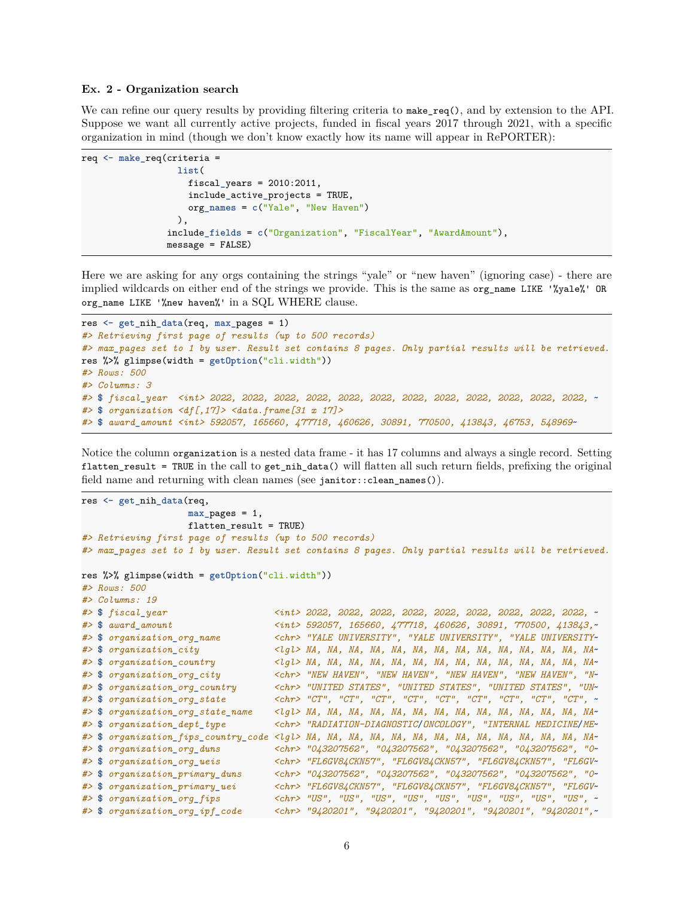#### **Ex. 2 - Organization search**

We can refine our query results by providing filtering criteria to make req(), and by extension to the API. Suppose we want all currently active projects, funded in fiscal years 2017 through 2021, with a specific organization in mind (though we don't know exactly how its name will appear in RePORTER):

```
req <- make_req(criteria =
                  list(
                    fiscal_years = 2010:2011,
                    include_active_projects = TRUE,
                    org_names = c("Yale", "New Haven")
                  ),
                include_fields = c("Organization", "FiscalYear", "AwardAmount"),
                message = FALSE)
```
Here we are asking for any orgs containing the strings "yale" or "new haven" (ignoring case) - there are implied wildcards on either end of the strings we provide. This is the same as org\_name LIKE '%yale%' OR org\_name LIKE '%new haven%' in a SQL WHERE clause.

```
res <- get_nih_data(req, max_pages = 1)
#> Retrieving first page of results (up to 500 records)
#> max_pages set to 1 by user. Result set contains 8 pages. Only partial results will be retrieved.
res %>% glimpse(width = getOption("cli.width"))
#> Rows: 500
#> Columns: 3
#> $ fiscal_year <int> 2022, 2022, 2022, 2022, 2022, 2022, 2022, 2022, 2022, 2022, 2022, 2022, 2022, ~
#> $ organization <df[,17]> <data.frame[31 x 17]>
#> $ award_amount <int> 592057, 165660, 477718, 460626, 30891, 770500, 413843, 46753, 548969~
```
Notice the column organization is a nested data frame - it has 17 columns and always a single record. Setting flatten\_result = TRUE in the call to get\_nih\_data() will flatten all such return fields, prefixing the original field name and returning with clean names (see janitor::clean\_names()).

```
res <- get_nih_data(req,
                  max_pages = 1,
                  flatten_result = TRUE)
#> Retrieving first page of results (up to 500 records)
#> max_pages set to 1 by user. Result set contains 8 pages. Only partial results will be retrieved.
res %>% glimpse(width = getOption("cli.width"))
#> Rows: 500
#> Columns: 19
#> $ fiscal_year <int> 2022, 2022, 2022, 2022, 2022, 2022, 2022, 2022, 2022, ~
#> $ award_amount <int> 592057, 165660, 477718, 460626, 30891, 770500, 413843,~
#> $ organization_org_name <chr> "YALE UNIVERSITY", "YALE UNIVERSITY", "YALE UNIVERSITY~
#> $ organization_city <lgl> NA, NA, NA, NA, NA, NA, NA, NA, NA, NA, NA, NA, NA, NA~
#> $ organization_country <lgl> NA, NA, NA, NA, NA, NA, NA, NA, NA, NA, NA, NA, NA, NA~
#> $ organization_org_city <chr> "NEW HAVEN", "NEW HAVEN", "NEW HAVEN", "NEW HAVEN", "N~
#> $ organization_org_country <chr> "UNITED STATES", "UNITED STATES", "UNITED STATES", "UN~
#> $ organization_org_state <chr> "CT", "CT", "CT", "CT", "CT", "CT", "CT", "CT", "CT", ~
#> $ organization_org_state_name <lgl> NA, NA, NA, NA, NA, NA, NA, NA, NA, NA, NA, NA, NA, NA~
#> $ organization_dept_type <chr> "RADIATION-DIAGNOSTIC/ONCOLOGY", "INTERNAL MEDICINE/ME~
#> $ organization_fips_country_code <lgl> NA, NA, NA, NA, NA, NA, NA, NA, NA, NA, NA, NA, NA, NA~
#> $ organization_org_duns <chr> "043207562", "043207562", "043207562", "043207562", "0~
#> $ organization_org_ueis <chr> "FL6GV84CKN57", "FL6GV84CKN57", "FL6GV84CKN57", "FL6GV~
#> $ organization_primary_duns <chr> "043207562", "043207562", "043207562", "043207562", "0~
#> $ organization_primary_uei <chr> "FL6GV84CKN57", "FL6GV84CKN57", "FL6GV84CKN57", "FL6GV~
#> $ organization_org_fips <chr> "US", "US", "US", "US", "US", "US", "US", "US", "US", ~
#> $ organization_org_ipf_code <chr> "9420201", "9420201", "9420201", "9420201", "9420201",~
```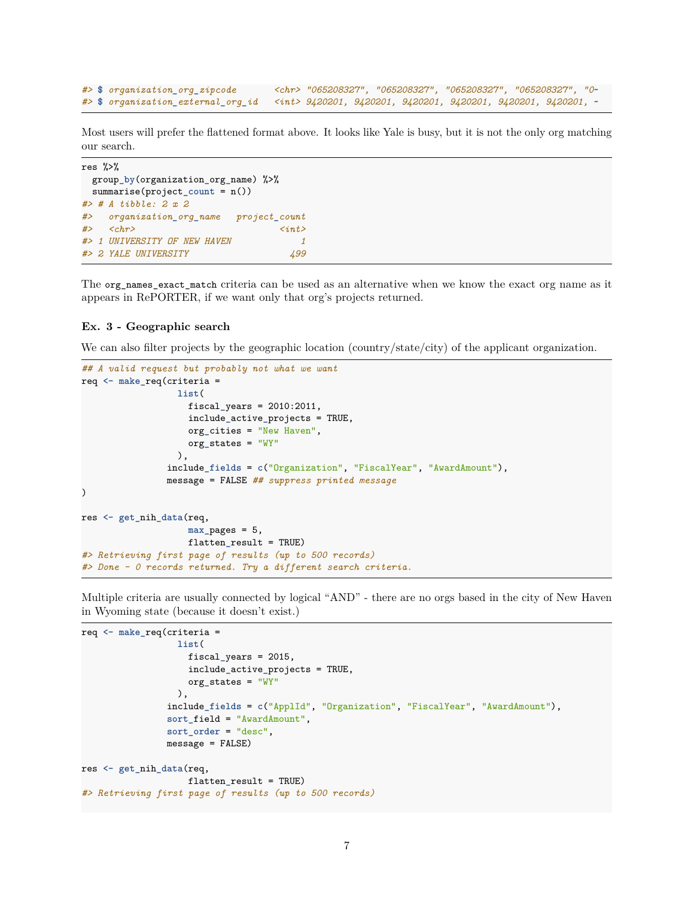```
#> $ organization_org_zipcode <chr> "065208327", "065208327", "065208327", "065208327", "0~
#> $ organization_external_org_id <int> 9420201, 9420201, 9420201, 9420201, 9420201, 9420201, ~
```
Most users will prefer the flattened format above. It looks like Yale is busy, but it is not the only org matching our search.

```
res %>%
 group_by(organization_org_name) %>%
 summarise(project count = n())
#> # A tibble: 2 x 2
#> organization_org_name project_count
#> <chr> <int>
#> 1 UNIVERSITY OF NEW HAVEN 1
#> 2 YALE UNIVERSITY 499
```
The org\_names\_exact\_match criteria can be used as an alternative when we know the exact org name as it appears in RePORTER, if we want only that org's projects returned.

#### **Ex. 3 - Geographic search**

We can also filter projects by the geographic location (country/state/city) of the applicant organization.

```
## A valid request but probably not what we want
req <- make_req(criteria =
                  list(
                    fiscal_years = 2010:2011,
                    include_active_projects = TRUE,
                    org_cities = "New Haven",
                    org_states = "WY"
                  ),
                include_fields = c("Organization", "FiscalYear", "AwardAmount"),
                message = FALSE ## suppress printed message
\mathcal{L}res <- get_nih_data(req,
                    max_pages = 5,
                    flatten_result = TRUE)
#> Retrieving first page of results (up to 500 records)
#> Done - 0 records returned. Try a different search criteria.
```
Multiple criteria are usually connected by logical "AND" - there are no orgs based in the city of New Haven in Wyoming state (because it doesn't exist.)

```
req <- make_req(criteria =
                  list(
                    fiscal_years = 2015,
                    include_active_projects = TRUE,
                    org_states = "WY"
                  ),
                include_fields = c("ApplId", "Organization", "FiscalYear", "AwardAmount"),
                sort_field = "AwardAmount",
                sort_order = "desc",
                message = FALSE)
res <- get_nih_data(req,
                    flatten_result = TRUE)
#> Retrieving first page of results (up to 500 records)
```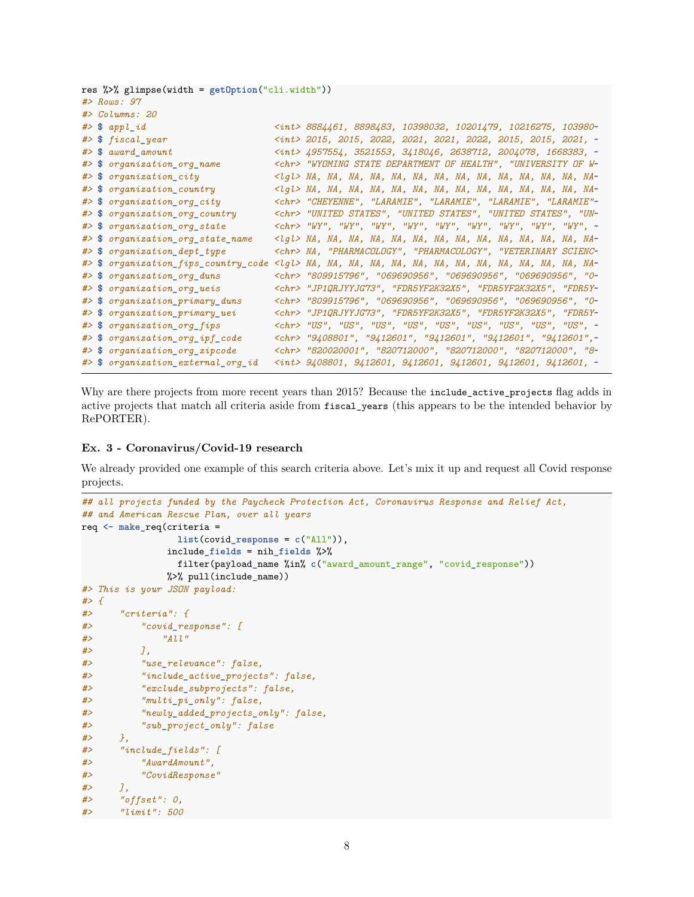| res $\frac{1}{2}$ glimpse(width = getOption("cli.width")) |                                      |  |                                                                                                                                                                                                                                     |  |  |  |
|-----------------------------------------------------------|--------------------------------------|--|-------------------------------------------------------------------------------------------------------------------------------------------------------------------------------------------------------------------------------------|--|--|--|
| $#$ > $Rows: 97$                                          |                                      |  |                                                                                                                                                                                                                                     |  |  |  |
|                                                           | #> Columns: 20                       |  |                                                                                                                                                                                                                                     |  |  |  |
|                                                           | $#$ \$ appl_id                       |  | $\langle 0.016275, 0.004461, 0.0004483, 0.00032, 0.0004479, 0.00046275, 0.00046275, 0.00046275, 0.00046275, 0.00046275, 0.00046275, 0.00046275, 0.00046275, 0.00046275, 0.00046275, 0.00046275, 0.00046275, 0.00046275, 0.00046275$ |  |  |  |
|                                                           | #> \$ fiscal_year                    |  | $\langle 2015, 2015, 2015, 2022, 2021, 2021, 2022, 2015, 2015, 2021, \cdots \rangle$                                                                                                                                                |  |  |  |
|                                                           | $#$ \$ award amount                  |  | $\langle \sin t \rangle$ 4957554, 3521553, 3418046, 2638712, 2004078, 1668383, $\sim$                                                                                                                                               |  |  |  |
|                                                           |                                      |  | <chr> "WYOMING STATE DEPARTMENT OF HEALTH", "UNIVERSITY OF W~</chr>                                                                                                                                                                 |  |  |  |
|                                                           | $#$ \$ organization_city             |  |                                                                                                                                                                                                                                     |  |  |  |
|                                                           | $#$ \$ organization_country          |  |                                                                                                                                                                                                                                     |  |  |  |
|                                                           | $#$ \$ organization org city         |  | <chr> "CHEYENNE", "LARAMIE", "LARAMIE", "LARAMIE", "LARAMIE"~</chr>                                                                                                                                                                 |  |  |  |
|                                                           | #> \$ organization_org_country       |  | <chr> "UNITED STATES", "UNITED STATES", "UNITED STATES", "UN~</chr>                                                                                                                                                                 |  |  |  |
|                                                           | #> \$ organization_org_state         |  | <chr> "WY", "WY", "WY", "WY", "WY", "WY", "WY", "WY", "WY", "WY", ~</chr>                                                                                                                                                           |  |  |  |
|                                                           | #> \$ organization_org_state_name    |  |                                                                                                                                                                                                                                     |  |  |  |
|                                                           | $#$ \$ organization_dept_type        |  | <chr> NA, "PHARMACOLOGY", "PHARMACOLOGY", "VETERINARY SCIENC~</chr>                                                                                                                                                                 |  |  |  |
|                                                           | #> \$ organization_fips_country_code |  |                                                                                                                                                                                                                                     |  |  |  |
|                                                           |                                      |  | $\langle chr \rangle$ "809915796", "069690956", "069690956", "069690956", "0~                                                                                                                                                       |  |  |  |
|                                                           | #> \$ organization_org_ueis          |  | <chr> "JP1QRJYYJG73", "FDR5YF2K32X5", "FDR5YF2K32X5", "FDR5Y~</chr>                                                                                                                                                                 |  |  |  |
|                                                           | #> \$ organization_primary_duns      |  | <chr> "809915796", "069690956", "069690956", "069690956", "0~</chr>                                                                                                                                                                 |  |  |  |
|                                                           | #> \$ organization_primary_uei       |  | <chr> "JP1QRJYYJG73", "FDR5YF2K32X5", "FDR5YF2K32X5", "FDR5Y~</chr>                                                                                                                                                                 |  |  |  |
|                                                           | #> \$ organization_org_fips          |  | <chr> "US", "US", "US", "US", "US", "US", "US", "US", "US", ~</chr>                                                                                                                                                                 |  |  |  |
|                                                           | #> \$ organization_org_ipf_code      |  | $\langle chr \rangle$ "9408801", "9412601", "9412601", "9412601", "9412601",~                                                                                                                                                       |  |  |  |
|                                                           | #> \$ organization_org_zipcode       |  | <chr> "820020001", "820712000", "820712000", "820712000", "8~</chr>                                                                                                                                                                 |  |  |  |
|                                                           | #> \$ organization_external_org_id   |  | $\langle 0.9408801, 9412601, 9412601, 9412601, 9412601, 9412601, \rangle$                                                                                                                                                           |  |  |  |

Why are there projects from more recent years than 2015? Because the include\_active\_projects flag adds in active projects that match all criteria aside from fiscal\_years (this appears to be the intended behavior by RePORTER).

#### **Ex. 3 - Coronavirus/Covid-19 research**

We already provided one example of this search criteria above. Let's mix it up and request all Covid response projects.

```
## all projects funded by the Paycheck Protection Act, Coronavirus Response and Relief Act,
## and American Rescue Plan, over all years
req <- make_req(criteria =
               list(covid_response = c("All")),
              include_fields = nih_fields %>%
               filter(payload_name %in% c("award_amount_range", "covid_response"))
              %>% pull(include_name))
#> This is your JSON payload:
#> {
#> "criteria": {
#> "covid_response": [
#> "All"
#> ],
#> "use_relevance": false,
#> "include_active_projects": false,
#> "exclude_subprojects": false,
         #> "multi_pi_only": false,
#> "newly_added_projects_only": false,
#> "sub_project_only": false
#> },
#> "include_fields": [
#> "AwardAmount",
#> "CovidResponse"
#> ],
#> "offset": 0,
#> "limit": 500
```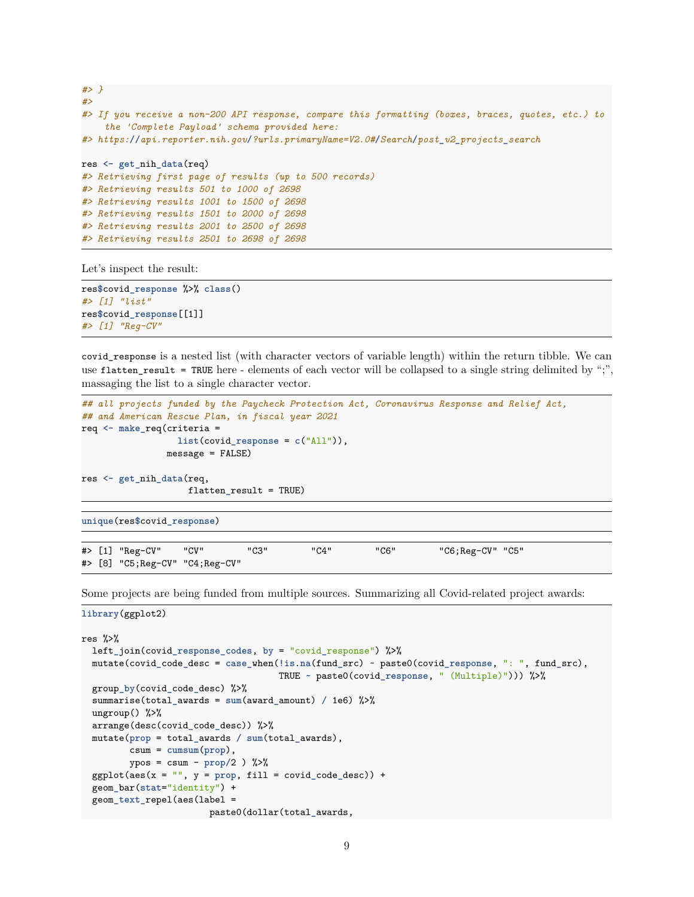```
#> }
#>
#> If you receive a non-200 API response, compare this formatting (boxes, braces, quotes, etc.) to
    the 'Complete Payload' schema provided here:
#> https://api.reporter.nih.gov/?urls.primaryName=V2.0#/Search/post_v2_projects_search
res <- get_nih_data(req)
#> Retrieving first page of results (up to 500 records)
#> Retrieving results 501 to 1000 of 2698
#> Retrieving results 1001 to 1500 of 2698
#> Retrieving results 1501 to 2000 of 2698
#> Retrieving results 2001 to 2500 of 2698
#> Retrieving results 2501 to 2698 of 2698
```
Let's inspect the result:

```
res$covid_response %>% class()
#> [1] "list"
res$covid_response[[1]]
#> [1] "Reg-CV"
```
covid\_response is a nested list (with character vectors of variable length) within the return tibble. We can use flatten\_result = TRUE here - elements of each vector will be collapsed to a single string delimited by ";", massaging the list to a single character vector.

```
## all projects funded by the Paycheck Protection Act, Coronavirus Response and Relief Act,
## and American Rescue Plan, in fiscal year 2021
req <- make_req(criteria =
                  list(covid_response = c("All")),
                message = FALSE)
res <- get_nih_data(req,
                    flatten_result = TRUE)
```
**unique**(res**\$**covid**\_response**)

|  | #> [1] "Reg-CV" "CV"              | "C3" | "C4" | "C6" | "C6;Reg-CV" "C5" |  |
|--|-----------------------------------|------|------|------|------------------|--|
|  | $#$ [8] "C5; Reg-CV" "C4; Reg-CV" |      |      |      |                  |  |

Some projects are being funded from multiple sources. Summarizing all Covid-related project awards:

```
library(ggplot2)
```

```
res %>%
  left_join(covid_response_codes, by = "covid_response") %>%
 mutate(covid_code_desc = case_when(!is.na(fund_src) ~ paste0(covid_response, ": ", fund_src),
                                     TRUE ~ paste0(covid_response, " (Multiple)"))) %>%
 group_by(covid_code_desc) %>%
  summarise(total_awards = sum(award_amount) / 1e6) %>%
 ungroup() %>%
 arrange(desc(covid_code_desc)) %>%
 mutate(prop = total_awards / sum(total_awards),
         csum = cumsum(prop),
         ypos = csum - prop/2 ) %>%
  ggplot(aes(x = "", y = prop, fill = covid_code\_desc)) +geom_bar(stat="identity") +
 geom_text_repel(aes(label =
                        paste0(dollar(total_awards,
```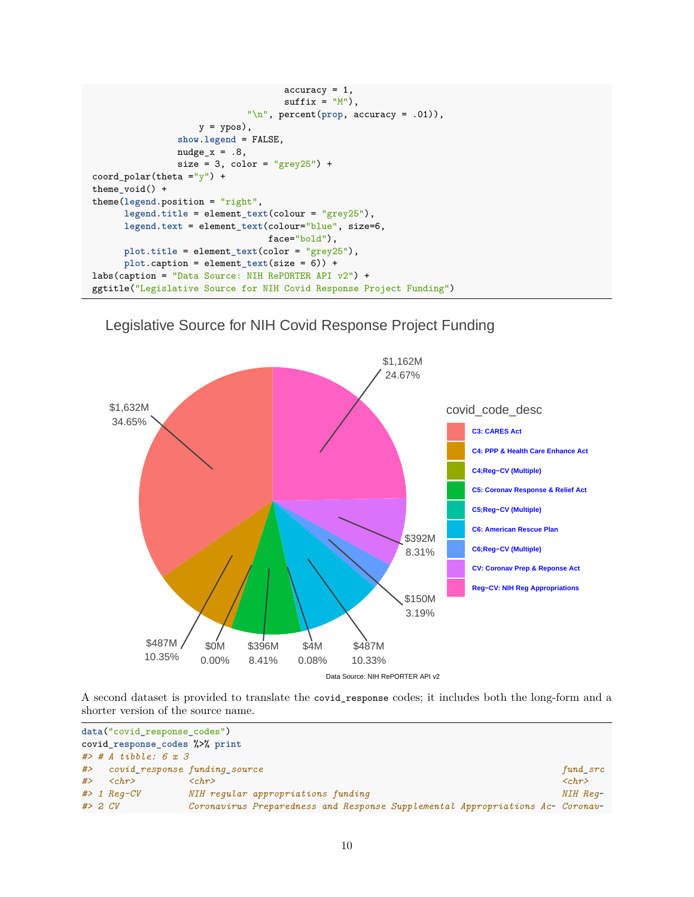```
accuracy = 1,
                                    sufficient = "M").
                             "\n", percent(prop, accuracy = .01)),
                    y = ypos),
                show.legend = FALSE,
                nudge_x = .8,
                size = 3, color = "grey25") +coord_polar(theta ="y") +
theme_void() +
theme(legend.position = "right",
      legend.title = element_text(colour = "grey25"),
      legend.text = element_text(colour="blue", size=6,
                                 face="bold"),
      plot.title = element_text(color = "grey25"),
      plot.caption = element text(size = 6)) +labs(caption = "Data Source: NIH RePORTER API v2") +
ggtitle("Legislative Source for NIH Covid Response Project Funding")
```


Legislative Source for NIH Covid Response Project Funding

A second dataset is provided to translate the covid\_response codes; it includes both the long-form and a shorter version of the source name.

```
data("covid_response_codes")
covid_response_codes %>% print
#> # A tibble: 6 x 3
#> covid_response funding_source fund_src
#> <chr> <chr> <chr>
#> 1 Reg-CV NIH regular appropriations funding NIH Reg~
#> 2 CV Coronavirus Preparedness and Response Supplemental Appropriations Ac~ Coronav~
```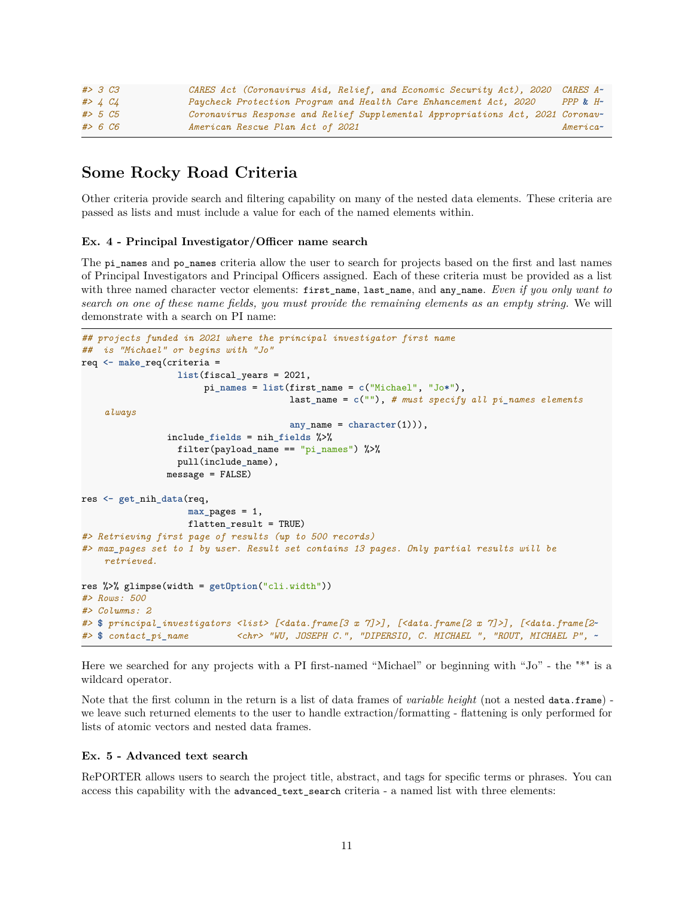|  | # > 3 C3               | CARES Act (Coronavirus Aid, Relief, and Economic Security Act), 2020 CARES $A*$ |                 |
|--|------------------------|---------------------------------------------------------------------------------|-----------------|
|  | #> $\angle$ C $\angle$ | Paycheck Protection Program and Health Care Enhancement Act, 2020               | $PPP \& H~\sim$ |
|  | $# > 5 \; C5$          | Coronavirus Response and Relief Supplemental Appropriations Act, 2021 Coronav-  |                 |
|  | $#> 6$ C6              | American Rescue Plan Act of 2021                                                | America~        |

### **Some Rocky Road Criteria**

Other criteria provide search and filtering capability on many of the nested data elements. These criteria are passed as lists and must include a value for each of the named elements within.

#### **Ex. 4 - Principal Investigator/Officer name search**

The pi\_names and po\_names criteria allow the user to search for projects based on the first and last names of Principal Investigators and Principal Officers assigned. Each of these criteria must be provided as a list with three named character vector elements: first name, last name, and any name. *Even if you only want to search on one of these name fields, you must provide the remaining elements as an empty string.* We will demonstrate with a search on PI name:

```
## projects funded in 2021 where the principal investigator first name
## is "Michael" or begins with "Jo"
req <- make_req(criteria =
                 list(fiscal_years = 2021,
                       pi_names = list(first_name = c("Michael", "Jo*"),
                                       last_name = c(""), # must specify all pi_names elements
    always
                                       any_name = character(1))),
                include_fields = nih_fields %>%
                 filter(payload_name == "pi_names") %>%
                 pull(include_name),
                message = FALSE)
res <- get_nih_data(req,
                   max_pages = 1,
                   flatten_result = TRUE)
#> Retrieving first page of results (up to 500 records)
#> max_pages set to 1 by user. Result set contains 13 pages. Only partial results will be
    retrieved.
res %>% glimpse(width = getOption("cli.width"))
#> Rows: 500
#> Columns: 2
#> $ principal_investigators <list> [<data.frame[3 x 7]>], [<data.frame[2 x 7]>], [<data.frame[2~
#> $ contact_pi_name <chr> "WU, JOSEPH C.", "DIPERSIO, C. MICHAEL ", "ROUT, MICHAEL P", ~
```
Here we searched for any projects with a PI first-named "Michael" or beginning with "Jo" - the "\*" is a wildcard operator.

Note that the first column in the return is a list of data frames of *variable height* (not a nested data.frame) we leave such returned elements to the user to handle extraction/formatting - flattening is only performed for lists of atomic vectors and nested data frames.

#### **Ex. 5 - Advanced text search**

RePORTER allows users to search the project title, abstract, and tags for specific terms or phrases. You can access this capability with the advanced\_text\_search criteria - a named list with three elements: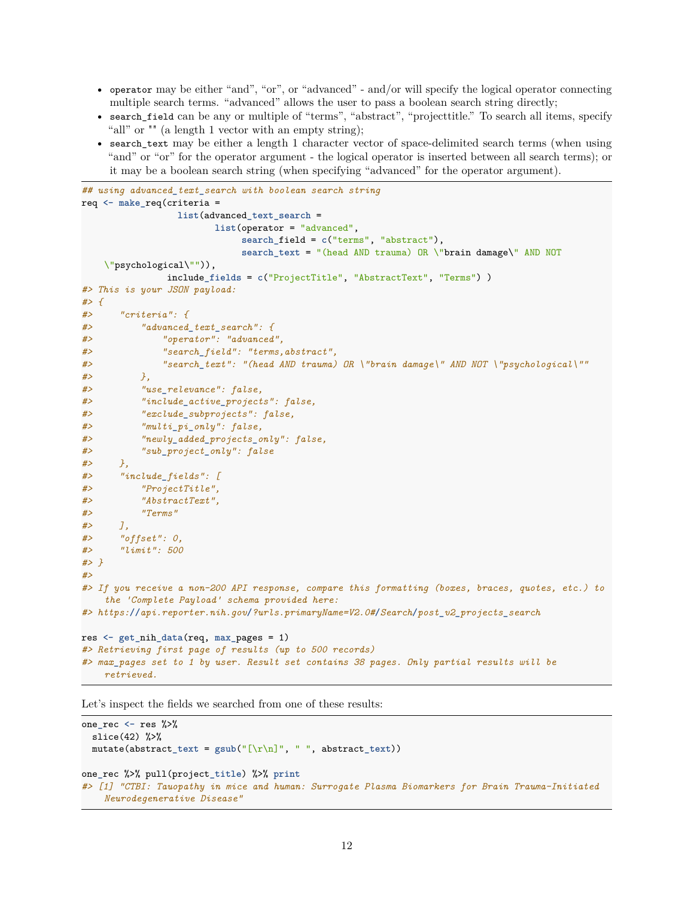- operator may be either "and", "or", or "advanced" and/or will specify the logical operator connecting multiple search terms. "advanced" allows the user to pass a boolean search string directly;
- search\_field can be any or multiple of "terms", "abstract", "projectititle." To search all items, specify "all" or "" (a length 1 vector with an empty string);
- search\_text may be either a length 1 character vector of space-delimited search terms (when using "and" or "or" for the operator argument - the logical operator is inserted between all search terms); or it may be a boolean search string (when specifying "advanced" for the operator argument).

```
## using advanced_text_search with boolean search string
req <- make_req(criteria =
                list(advanced_text_search =
                      list(operator = "advanced",
                           search_field = c("terms", "abstract"),
                           search_text = "(head AND trauma) OR \"brain damage\" AND NOT
   \"psychological\"")),
              include_fields = c("ProjectTitle", "AbstractText", "Terms") )
#> This is your JSON payload:
#> {
#> "criteria": {
#> "advanced_text_search": {
#> "operator": "advanced",
#> "search_field": "terms,abstract",
#> "search_text": "(head AND trauma) OR \"brain damage\" AND NOT \"psychological\""
#> },
#> "use_relevance": false,
#> "include_active_projects": false,
#> "exclude_subprojects": false,
#> "multi_pi_only": false,
#> "newly_added_projects_only": false,
#> "sub_project_only": false
#> },
#> "include_fields": [
#> "ProjectTitle",
#> "AbstractText",
#> "Terms"
#> ],
#> "offset": 0,
#> "limit": 500
#> }
#>
#> If you receive a non-200 API response, compare this formatting (boxes, braces, quotes, etc.) to
    the 'Complete Payload' schema provided here:
#> https://api.reporter.nih.gov/?urls.primaryName=V2.0#/Search/post_v2_projects_search
res <- get_nih_data(req, max_pages = 1)
#> Retrieving first page of results (up to 500 records)
#> max_pages set to 1 by user. Result set contains 38 pages. Only partial results will be
   retrieved.
```
Let's inspect the fields we searched from one of these results:

```
one_rec <- res %>%
  slice(42) %>%
 mutate(abstract_text = gsub("[\r\n]", " ", abstract_text))
one_rec %>% pull(project_title) %>% print
#> [1] "CTBI: Tauopathy in mice and human: Surrogate Plasma Biomarkers for Brain Trauma-Initiated
    Neurodegenerative Disease"
```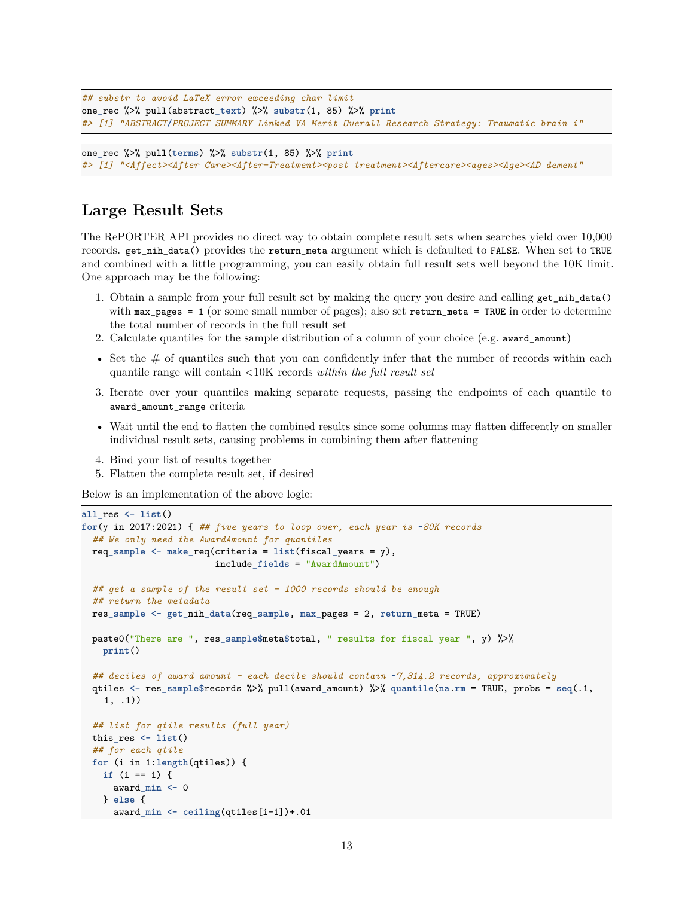```
## substr to avoid LaTeX error exceeding char limit
one_rec %>% pull(abstract_text) %>% substr(1, 85) %>% print
#> [1] "ABSTRACT/PROJECT SUMMARY Linked VA Merit Overall Research Strategy: Traumatic brain i"
```

```
one_rec %>% pull(terms) %>% substr(1, 85) %>% print
#> [1] "<Affect><After Care><After-Treatment><post treatment><Aftercare><ages><Age><AD dement"
```
# **Large Result Sets**

The RePORTER API provides no direct way to obtain complete result sets when searches yield over 10,000 records. get\_nih\_data() provides the return\_meta argument which is defaulted to FALSE. When set to TRUE and combined with a little programming, you can easily obtain full result sets well beyond the 10K limit. One approach may be the following:

- 1. Obtain a sample from your full result set by making the query you desire and calling get\_nih\_data() with max\_pages = 1 (or some small number of pages); also set return\_meta = TRUE in order to determine the total number of records in the full result set
- 2. Calculate quantiles for the sample distribution of a column of your choice (e.g. award\_amount)
- Set the  $\#$  of quantiles such that you can confidently infer that the number of records within each quantile range will contain <10K records *within the full result set*
- 3. Iterate over your quantiles making separate requests, passing the endpoints of each quantile to award\_amount\_range criteria
- Wait until the end to flatten the combined results since some columns may flatten differently on smaller individual result sets, causing problems in combining them after flattening
- 4. Bind your list of results together
- 5. Flatten the complete result set, if desired

Below is an implementation of the above logic:

```
all_res <- list()
for(y in 2017:2021) { ## five years to loop over, each year is ~80K records
  ## We only need the AwardAmount for quantiles
 req_sample <- make_req(criteria = list(fiscal_years = y),
                         include_fields = "AwardAmount")
  ## get a sample of the result set - 1000 records should be enough
  ## return the metadata
 res_sample <- get_nih_data(req_sample, max_pages = 2, return_meta = TRUE)
 paste0("There are ", res_sample$meta$total, " results for fiscal year ", y) %>%
   print()
  ## deciles of award amount - each decile should contain ~7,314.2 records, approximately
  qtiles <- res_sample$records %>% pull(award_amount) %>% quantile(na.rm = TRUE, probs = seq(.1,
    1, .1))
  ## list for qtile results (full year)
  this_res <- list()
  ## for each qtile
 for (i in 1:length(qtiles)) {
    if (i == 1) {
     award_min <- 0
   } else {
     award_min <- ceiling(qtiles[i-1])+.01
```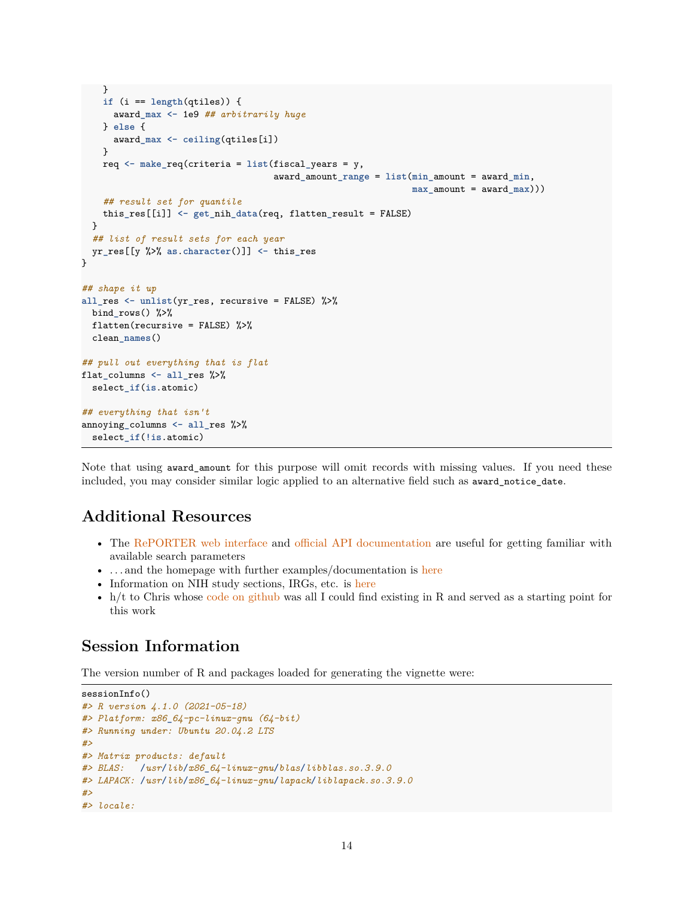```
}
    if (i == length(qtiles)) {
      award_max <- 1e9 ## arbitrarily huge
   } else {
      award_max <- ceiling(qtiles[i])
    }
   req <- make_req(criteria = list(fiscal_years = y,
                                    award_amount_range = list(min_amount = award_min,
                                                               max_amount = award_max)))
    ## result set for quantile
    this_res[[i]] <- get_nih_data(req, flatten_result = FALSE)
 }
 ## list of result sets for each year
 yr_res[[y %>% as.character()]] <- this_res
}
## shape it up
all_res <- unlist(yr_res, recursive = FALSE) %>%
 bind_rows() %>%
 flatten(recursive = FALSE) %>%
 clean_names()
## pull out everything that is flat
flat_columns <- all_res %>%
  select_if(is.atomic)
## everything that isn't
annoying_columns <- all_res %>%
  select_if(!is.atomic)
```
Note that using award\_amount for this purpose will omit records with missing values. If you need these included, you may consider similar logic applied to an alternative field such as award\_notice\_date.

# **Additional Resources**

- The [RePORTER web interface](https://reporter.nih.gov/advanced-search) and [official API documentation](https://api.reporter.nih.gov/documents/Data%20Elements%20for%20RePORTER%20Project%20API%20v2.pdf) are useful for getting familiar with available search parameters
- ... and the homepage with further examples/documentation is [here](https://api.reporter.nih.gov/)
- Information on NIH study sections, IRGs, etc. is [here](https://public.csr.nih.gov/StudySections)
- h/t to Chris whose [code on github](https://github.com/christopherBelter/nih_reporter_api) was all I could find existing in R and served as a starting point for this work

# **Session Information**

The version number of R and packages loaded for generating the vignette were:

```
sessionInfo()
#> R version 4.1.0 (2021-05-18)
#> Platform: x86_64-pc-linux-gnu (64-bit)
#> Running under: Ubuntu 20.04.2 LTS
#>
#> Matrix products: default
#> BLAS: /usr/lib/x86_64-linux-gnu/blas/libblas.so.3.9.0
#> LAPACK: /usr/lib/x86_64-linux-gnu/lapack/liblapack.so.3.9.0
#>
#> locale:
```